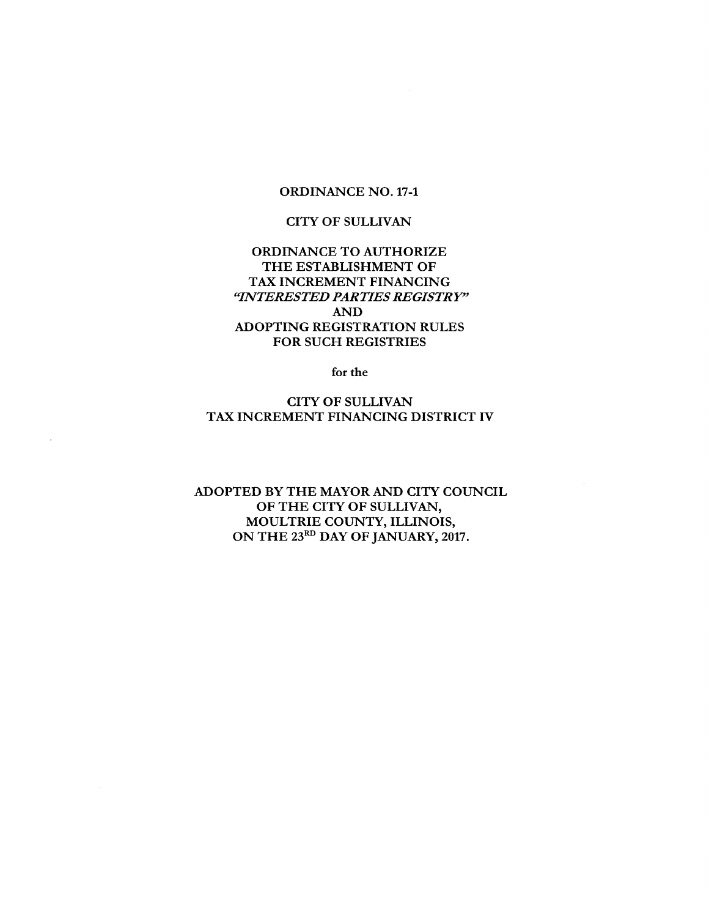## ORDINANCE NO. 17-1

### CITY OF SULLIVAN

## ORDINANCE TO AUTHORIZE THE ESTABLISHMENT OF TAX INCREMENT FINANCING INTERESTED PARTIES REGISTRY" AND ADOPTING REGISTRATION RULES FOR SUCH REGISTRIES

for the

# CITY OF SULLIVAN TAX INCREMENT FINANCING DISTRICT IV

# ADOPTED BY THE MAYOR AND CITY COUNCIL OF THE CITY OF SULLIVAN, MOULTRIE COUNTY, ILLINOIS, ON THE 23RD DAY OF JANUARY, 2017.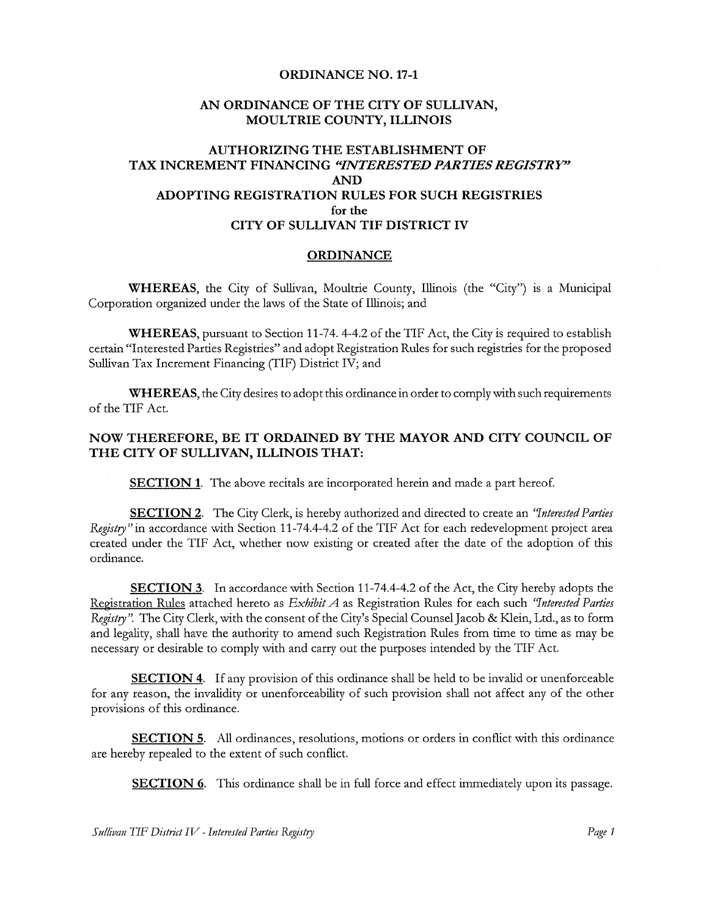### ORDINANCE NO. 17-1

### AN ORDINANCE OF THE CITY OF SULLIVAN, MOULTRIE COUNTY, ILLINOIS

## AUTHORIZING THE ESTABLISHMENT OF TAX INCREMENT FINANCING "INTERESTED PARTIES REGISTRY" AND ADOPTING REGISTRATION RULES FOR SUCH REGISTRIES for the CITY OF SULLIVAN TIF DISTRICT IV

#### **ORDINANCE**

WHEREAS, the City of Sullivan, Moultrie County, Illinois (the "City") is a Municipal Corporation organized under the laws of the State of Illinois; and

WHEREAS, pursuant to Section 11-74. 4-4.2 of the TIF Act, the City is required to establish certain" Interested Parties Registries" and adopt Registration Rules for such registries for the proposed Sullivan Tax Increment Financing (TIF) District IV; and

WHEREAS, the City desires to adopt this ordinance in order to comply with such requirements of the TIF Act.

### NOW THEREFORE, BE IT ORDAINED BY THE MAYOR AND CITY COUNCIL OF THE CITY OF SULLIVAN, ILLINOIS THAT:

SECTION 1. The above recitals are incorporated herein and made a part hereof.

**SECTION 2.** The City Clerk, is hereby authorized and directed to create an *'Interested Parties* Registry" in accordance with Section 11-74.4-4.2 of the TIF Act for each redevelopment project area created under the TIF Act, whether now existing or created after the date of the adoption of this ordinance.

SECTION 3. In accordance with Section 11-74.4-4.2 of the Act, the City hereby adopts the Registration Rules attached hereto as  $Exhibit \, A$  as Registration Rules for each such '*Interested Parties* Registry". The City Clerk, with the consent of the City's Special Counsel Jacob & Klein, Ltd., as to form and legality, shall have the authority to amend such Registration Rules from time to time as may be necessary or desirable to comply with and carry out the purposes intended by the TIF Act.

SECTION 4. If any provision of this ordinance shall be held to be invalid or unenforceable for any reason, the invalidity or unenforceability of such provision shall not affect any of the other provisions of this ordinance.

**SECTION 5.** All ordinances, resolutions, motions or orders in conflict with this ordinance are hereby repealed to the extent of such conflict.

**SECTION 6.** This ordinance shall be in full force and effect immediately upon its passage.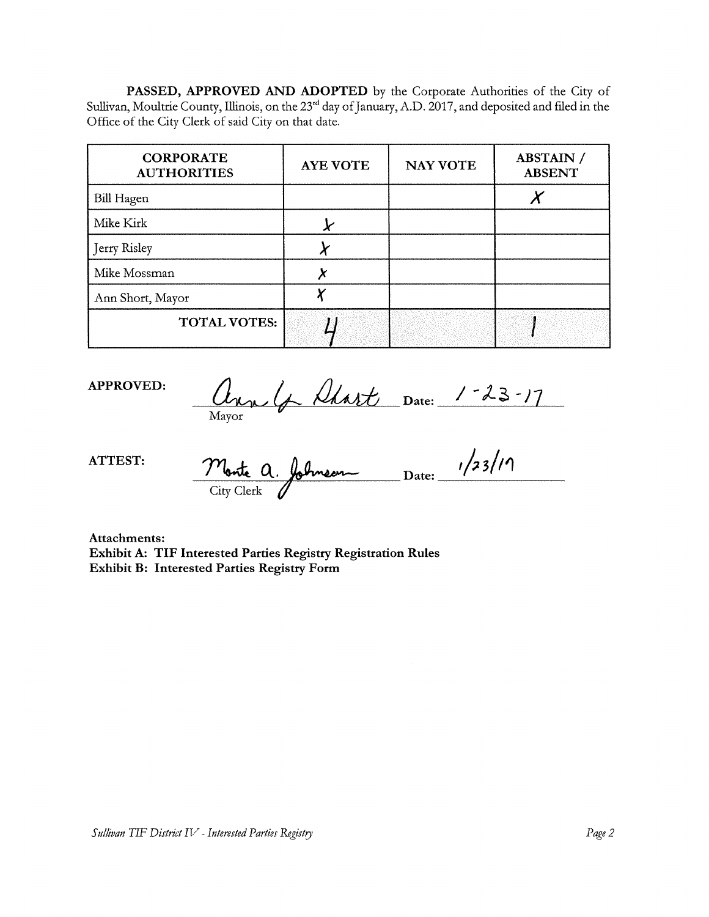PASSED, APPROVED AND ADOPTED by the Corporate Authorities of the City of Sullivan, Moultrie County, Illinois, on the 23<sup>rd</sup> day of January, A.D. 2017, and deposited and filed in the Office of the City Clerk of said City on that date.

| <b>CORPORATE</b><br><b>AUTHORITIES</b> | <b>AYE VOTE</b> | <b>NAY VOTE</b> | <b>ABSTAIN /</b><br><b>ABSENT</b> |
|----------------------------------------|-----------------|-----------------|-----------------------------------|
| Bill Hagen                             |                 |                 |                                   |
| Mike Kirk                              |                 |                 |                                   |
| Jerry Risley                           |                 |                 |                                   |
| Mike Mossman                           |                 |                 |                                   |
| Ann Short, Mayor                       |                 |                 |                                   |
| <b>TOTAL VOTES:</b>                    |                 |                 |                                   |

APPROVED: Date: Mayor

| АT | Monte a.<br>Johnson | Date: | $\overline{10}$<br>1.21 |  |
|----|---------------------|-------|-------------------------|--|
|    | lerk<br>_1tv ·      |       |                         |  |

Attachments:

Exhibit A: TIF Interested Parties Registry Registration Rules Exhibit B: Interested Parties Registry Form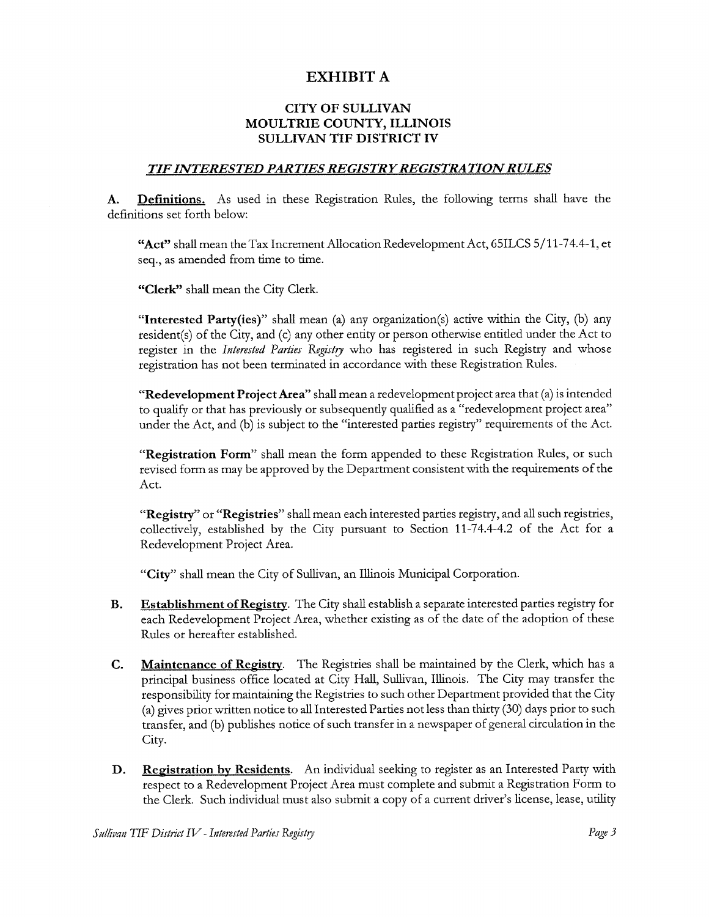# EXHIBIT A

# CITY OF SULLIVAN MOULTRIE COUNTY, ILLINOIS SULLIVAN TIF DISTRICT IV

### TIFINTERESTED PARTIES REGISTRYREGISTRATIONRULES

A. Definitions. As used in these Registration Rules, the following terms shall have the definitions set forth below:

"Act" shall mean the Tax Increment Allocation Redevelopment Act, 65ILCS 5/11-74.4-1, et seq., as amended from time to time.

"Clerk" shall mean the City Clerk.

"Interested Party(ies)" shall mean (a) any organization(s) active within the City, (b) any resident(s) of the City, and (c) any other entity or person otherwise entitled under the Act to register in the *Interested Parties Registry* who has registered in such Registry and whose registration has not been terminated in accordance with these Registration Rules.

"Redevelopment Project Area" shall mean a redevelopment project area that (a) is intended to qualify or that has previously or subsequently qualified as a "redevelopment project area" under the Act, and (b) is subject to the "interested parties registry" requirements of the Act.

Registration Form" shall mean the form appended to these Registration Rules, or such revised form as may be approved by the Department consistent with the requirements of the Act.

"Registry" or "Registries" shall mean each interested parties registry, and all such registries, collectively, established by the City pursuant to Section  $11-74.4-4.2$  of the Act for a Redevelopment Project Area.

"City" shall mean the City of Sullivan, an Illinois Municipal Corporation.

- B. Establishment of Registry. The City shall establish a separate interested parties registry for each Redevelopment Project Area, whether existing as of the date of the adoption of these Rules or hereafter established.
- C. Maintenance of Registry. The Registries shall be maintained by the Clerk, which has a principal business office located at City Hall, Sullivan, Illinois. The City may transfer the responsibility for maintaining the Registries to such other Department provided that the City (a) gives prior written notice to all Interested Parties not less than thirty  $(30)$  days prior to such transfer, and( b) publishes notice of such transfer in <sup>a</sup> newspaper of general circulation in the City.
- D. Registration by Residents. An individual seeking to register as an Interested Party with respect to a Redevelopment Project Area must complete and submit <sup>a</sup> Registration Form to the Clerk. Such individual must also submit a copy of a current driver's license, lease, utility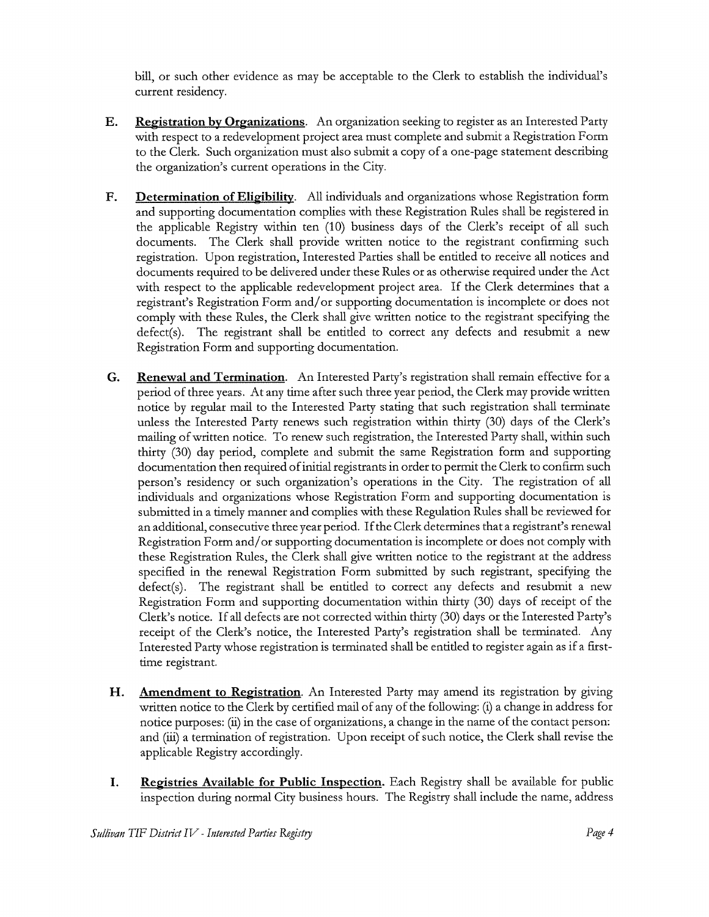bill, or such other evidence as may be acceptable to the Clerk to establish the individual's current residency.

- E. Registration by Organizations. An organization seeking to register as an Interested Party with respect to <sup>a</sup> redevelopment project area must complete and submit <sup>a</sup> Registration Form to the Clerk. Such organization must also submit <sup>a</sup> copy of <sup>a</sup> one- page statement describing the organization's current operations in the City.
- F. Determination of Eligibility. All individuals and organizations whose Registration form and supporting documentation complies with these Registration Rules shall be registered in the applicable Registry within ten ( 10) business days of the Clerk's receipt of all such documents. The Clerk shall provide written notice to the registrant confirming such registration. Upon registration, Interested Parties shall be entitled to receive all notices and documents required to be delivered under these Rules or as otherwise required under the Act with respect to the applicable redevelopment project area. If the Clerk determines that <sup>a</sup> registrant's Registration Form and/ or supporting documentation is incomplete or does not comply with these Rules, the Clerk shall give written notice to the registrant specifying the defect(s). The registrant shall be entitled to correct any defects and resubmit <sup>a</sup> new Registration Form and supporting documentation.
- G. Renewal and Termination. An Interested Party's registration shall remain effective for a period of three years. At any time after such three year period, the Clerk may provide written notice by regular mail to the Interested Party stating that such registration shall terminate unless the Interested Party renews such registration within thirty (30) days of the Clerk's mailing ofwritten notice. To renew such registration, the Interested Party shall, within such thirty ( 30) day period, complete and submit the same Registration form and supporting documentation then required ofinitial registrants in order to permit the Clerk to confirm such person's residency or such organization's operations in the City. The registration of all individuals and organizations whose Registration Form and supporting documentation is submitted in <sup>a</sup> timely manner and complies with these Regulation Rules shall be reviewed for an additional, consecutive three year period. If the Clerk determines that a registrant's renewal Registration Form and/ or supporting documentation is incomplete or does not comply with these Registration Rules, the Clerk shall give written notice to the registrant at the address specified in the renewal Registration Form submitted by such registrant, specifying the defect(s). The registrant shall be entitled to correct any defects and resubmit <sup>a</sup> new Registration Form and supporting documentation within thirty (30) days of receipt of the Clerk's notice. If all defects are not corrected within thirty (30) days or the Interested Party's receipt of the Clerk's notice, the Interested Party's registration shall be terminated. Any Interested Party whose registration is terminated shall be entitled to register again as if <sup>a</sup> firsttime registrant.
- H. **Amendment to Registration**. An Interested Party may amend its registration by giving written notice to the Clerk by certified mail of any of the following:( i) a change in address for notice purposes: (ii) in the case of organizations, <sup>a</sup> change in the name of the contact person: and (iii) a termination of registration. Upon receipt of such notice, the Clerk shall revise the applicable Registry accordingly.
- I. Registries Available for Public Inspection. Each Registry shall be available for public inspection during normal City business hours. The Registry shall include the name, address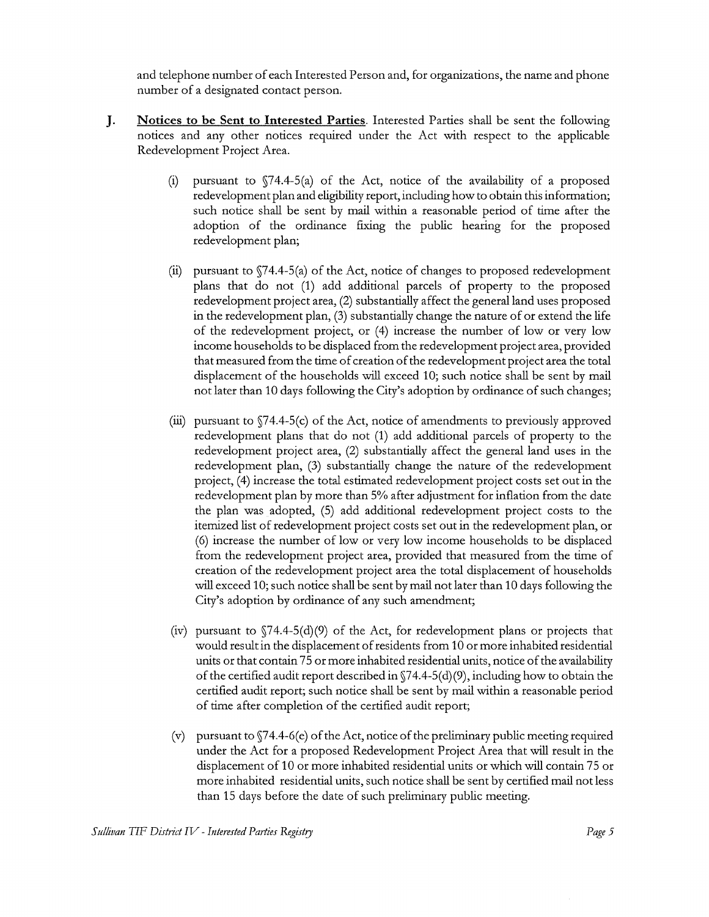and telephone number of each Interested Person and, for organizations, the name and phone number of <sup>a</sup> designated contact person.

- J. Notices to be Sent to Interested Parties. Interested Parties shall be sent the following notices and any other notices required under the Act with respect to the applicable Redevelopment Project Area.
	- (i) pursuant to  $\sqrt{74.4-5}$  (a) of the Act, notice of the availability of a proposed redevelopment plan and eligibility report, including how to obtain this information; such notice shall be sent by mail within <sup>a</sup> reasonable period of time after the adoption of the ordinance fixing the public hearing for the proposed redevelopment plan;
	- (ii) pursuant to  $\sqrt[6]{74.4-5}$ (a) of the Act, notice of changes to proposed redevelopment plans that do not (1) add additional parcels of property to the proposed redevelopment project area, (2) substantially affect the general land uses proposed in the redevelopment plan,( 3) substantially change the nature of or extend the life of the redevelopment project, or (4) increase the number of low or very low income households to be displaced from the redevelopment project area, provided that measured from the time of creation of the redevelopment project area the total displacement of the households will exceed 10; such notice shall be sent by mail not later than 10 days following the City's adoption by ordinance of such changes;
	- (iii) pursuant to  $$74.4-5(c)$  of the Act, notice of amendments to previously approved redevelopment plans that do not (1) add additional parcels of property to the redevelopment project area, (2) substantially affect the general land uses in the redevelopment plan, (3) substantially change the nature of the redevelopment project,( 4) increase the total estimated redevelopment project costs set out in the redevelopment plan by more than 5% after adjustment for inflation from the date the plan was adopted, (5) add additional redevelopment project costs to the itemized list of redevelopment project costs set out in the redevelopment plan, or 6) increase the number of low or very low income households to be displaced from the redevelopment project area, provided that measured from the time of creation of the redevelopment project area the total displacement of households will exceed 10; such notice shall be sent by mail not later than 10 days following the City's adoption by ordinance of any such amendment;
	- (iv) pursuant to  $$74.4-5(d)(9)$  of the Act, for redevelopment plans or projects that would result in the displacement ofresidents from 10 or more inhabited residential units or that contain 75 or more inhabited residential units, notice ofthe availability of the certified audit report described in  $\sqrt{74.4-5}$ (d)(9), including how to obtain the certified audit report; such notice shall be sent by mail within <sup>a</sup> reasonable period of time after completion of the certified audit report;
	- (v) pursuant to  $\sqrt{74.4-6}$  (e) of the Act, notice of the preliminary public meeting required under the Act for a proposed Redevelopment Project Area that will result in the displacement of 10 or more inhabited residential units or which will contain 75 or more inhabited residential units, such notice shall be sent by certified mail not less than <sup>15</sup> days before the date of such preliminary public meeting.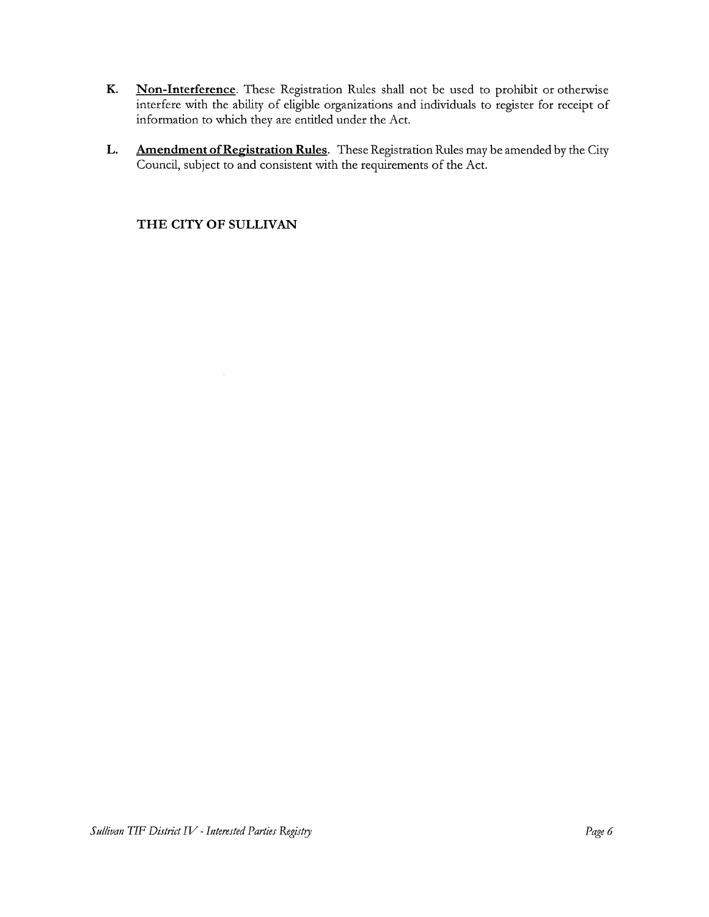- K. Non-Interference. These Registration Rules shall not be used to prohibit or otherwise interfere with the ability of eligible organizations and individuals to register for receipt of information to which they are entitled under the Act.
- L. Amendment of Registration Rules. These Registration Rules may be amended by the City Council, subject to and consistent with the requirements of the Act.

# THE CITY OF SULLIVAN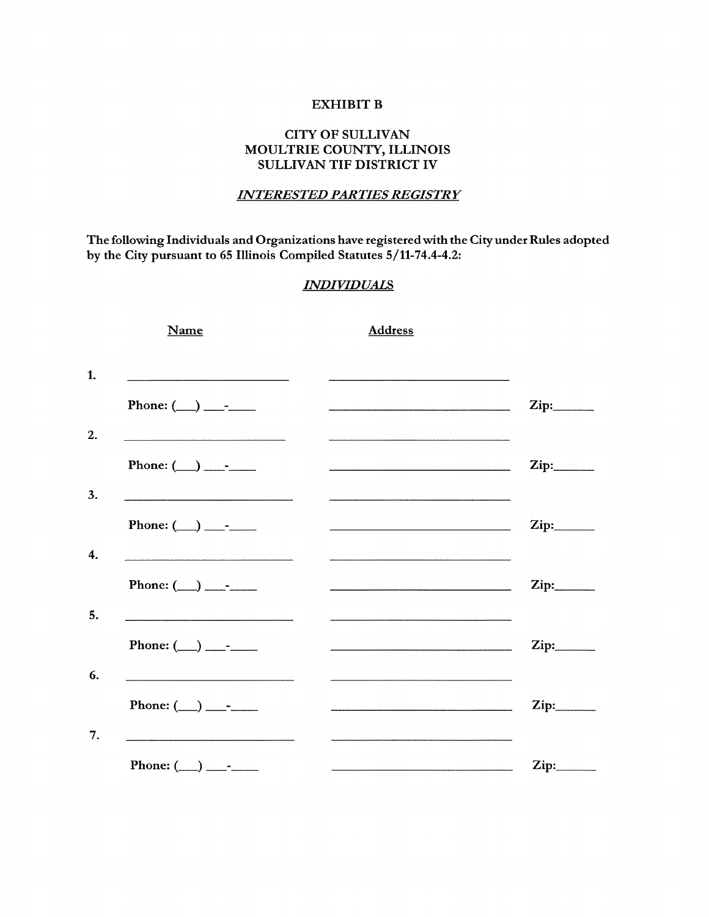## EXHIBIT B

# CITY OF SULLIVAN MOULTRIE COUNTY, ILLINOIS SULLIVAN TIF DISTRICT IV

# INTERESTED PARTIES REGISTRY

The following Individuals and Organizations have registered with the City under Rules adopted by the City pursuant to 65 Illinois Compiled Statutes 5/11-74.4-4.2:

# INDIVIDUALS

| Name                      | <b>Address</b>                                                                                                                                                                                                                                                                                                                                                                                                                                                                   |      |
|---------------------------|----------------------------------------------------------------------------------------------------------------------------------------------------------------------------------------------------------------------------------------------------------------------------------------------------------------------------------------------------------------------------------------------------------------------------------------------------------------------------------|------|
| Phone: $(\_\_\_\_\_\_\$   |                                                                                                                                                                                                                                                                                                                                                                                                                                                                                  |      |
| Phone: $(\_\_\_\_\_\_$    |                                                                                                                                                                                                                                                                                                                                                                                                                                                                                  |      |
| Phone: $(\_\_\_\_\_\_\_$  | $\begin{tabular}{lllllllllllll} \multicolumn{3}{l}{} & \multicolumn{3}{l}{} & \multicolumn{3}{l}{} & \multicolumn{3}{l}{} & \multicolumn{3}{l}{} & \multicolumn{3}{l}{} & \multicolumn{3}{l}{} & \multicolumn{3}{l}{} & \multicolumn{3}{l}{} & \multicolumn{3}{l}{} & \multicolumn{3}{l}{} & \multicolumn{3}{l}{} & \multicolumn{3}{l}{} & \multicolumn{3}{l}{} & \multicolumn{3}{l}{} & \multicolumn{3}{l}{} & \multicolumn{3}{l}{} & \multicolumn{3}{l}{} & \multicolumn{3}{l$ | Zip: |
| Phone: $(\_\_\_\_\_\_\_\$ |                                                                                                                                                                                                                                                                                                                                                                                                                                                                                  |      |
| Phone: $(\_\_\_\_\_\_$    |                                                                                                                                                                                                                                                                                                                                                                                                                                                                                  |      |
|                           |                                                                                                                                                                                                                                                                                                                                                                                                                                                                                  |      |
| Phone: $(\_\_\_\_\_\_\_$  |                                                                                                                                                                                                                                                                                                                                                                                                                                                                                  | Zip: |